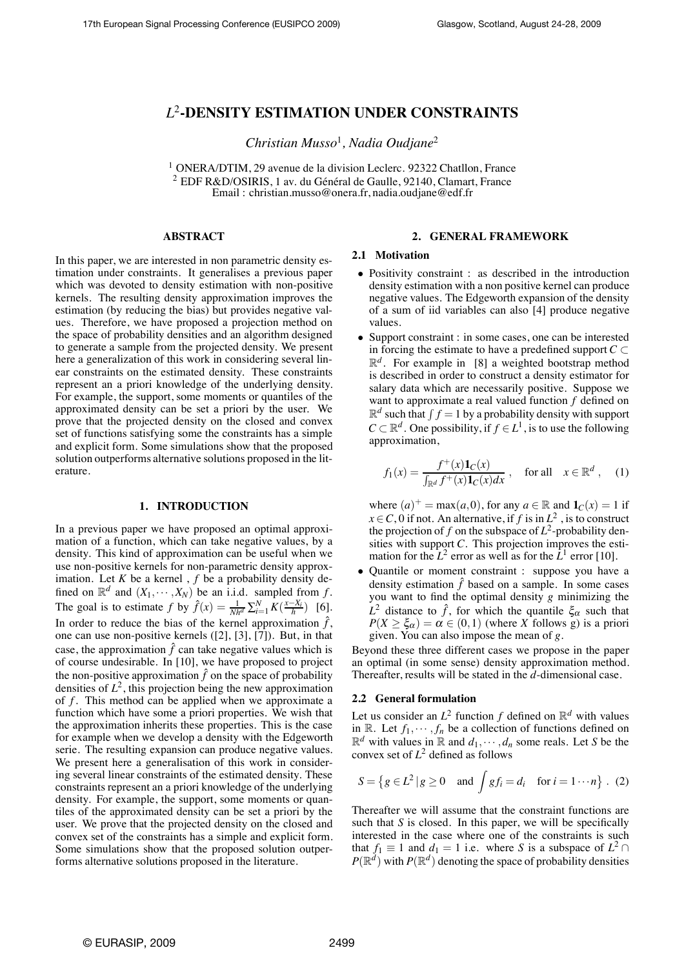# *L*<sup>2</sup>**-DENSITY ESTIMATION UNDER CONSTRAINTS**

*Christian Musso*<sup>1</sup> *, Nadia Oudjane*<sup>2</sup>

<sup>1</sup> ONERA/DTIM, 29 avenue de la division Leclerc. 92322 Chatllon, France <sup>2</sup> EDF R&D/OSIRIS, 1 av. du Général de Gaulle, 92140, Clamart, France Email : christian.musso@onera.fr, nadia.oudjane@edf.fr

# **ABSTRACT**

In this paper, we are interested in non parametric density estimation under constraints. It generalises a previous paper which was devoted to density estimation with non-positive kernels. The resulting density approximation improves the estimation (by reducing the bias) but provides negative values. Therefore, we have proposed a projection method on the space of probability densities and an algorithm designed to generate a sample from the projected density. We present here a generalization of this work in considering several linear constraints on the estimated density. These constraints represent an a priori knowledge of the underlying density. For example, the support, some moments or quantiles of the approximated density can be set a priori by the user. We prove that the projected density on the closed and convex set of functions satisfying some the constraints has a simple and explicit form. Some simulations show that the proposed solution outperforms alternative solutions proposed in the literature.

#### **1. INTRODUCTION**

In a previous paper we have proposed an optimal approximation of a function, which can take negative values, by a density. This kind of approximation can be useful when we use non-positive kernels for non-parametric density approximation. Let  $K$  be a kernel ,  $f$  be a probability density defined on  $\mathbb{R}^d$  and  $(X_1, \dots, X_N)$  be an i.i.d. sampled from f. The goal is to estimate *f* by  $\hat{f}(x) = \frac{1}{Nh^d} \sum_{i=1}^{N} K(\frac{x - X_i}{h})$  [6]. In order to reduce the bias of the kernel approximation  $\hat{f}$ , one can use non-positive kernels ([2], [3], [7]). But, in that case, the approximation  $\hat{f}$  can take negative values which is of course undesirable. In [10], we have proposed to project the non-positive approximation  $\hat{f}$  on the space of probability densities of  $L^2$ , this projection being the new approximation of *f* . This method can be applied when we approximate a function which have some a priori properties. We wish that the approximation inherits these properties. This is the case for example when we develop a density with the Edgeworth serie. The resulting expansion can produce negative values. We present here a generalisation of this work in considering several linear constraints of the estimated density. These constraints represent an a priori knowledge of the underlying density. For example, the support, some moments or quantiles of the approximated density can be set a priori by the user. We prove that the projected density on the closed and convex set of the constraints has a simple and explicit form. Some simulations show that the proposed solution outperforms alternative solutions proposed in the literature.

# **2. GENERAL FRAMEWORK**

# **2.1 Motivation**

- Positivity constraint : as described in the introduction density estimation with a non positive kernel can produce negative values. The Edgeworth expansion of the density of a sum of iid variables can also [4] produce negative values.
- Support constraint : in some cases, one can be interested in forcing the estimate to have a predefined support  $C \subset$  $\mathbb{R}^d$ . For example in [8] a weighted bootstrap method is described in order to construct a density estimator for salary data which are necessarily positive. Suppose we want to approximate a real valued function *f* defined on  $\mathbb{R}^d$  such that  $\int f = 1$  by a probability density with support  $C \subset \mathbb{R}^d$ . One possibility, if  $f \in L^1$ , is to use the following approximation,

$$
f_1(x) = \frac{f^+(x)\mathbf{1}_C(x)}{\int_{\mathbb{R}^d} f^+(x)\mathbf{1}_C(x)dx}, \quad \text{for all} \quad x \in \mathbb{R}^d, \quad (1)
$$

where  $(a)^+$  = max $(a, 0)$ , for any  $a \in \mathbb{R}$  and  $\mathbf{1}_C(x) = 1$  if  $x \in C$ , 0 if not. An alternative, if *f* is in  $L^2$ , is to construct the projection of  $f$  on the subspace of  $L^2$ -probability densities with support *C*. This projection improves the estimation for the  $L^2$  error as well as for the  $\bar{L}^1$  error [10].

• Quantile or moment constraint : suppose you have a density estimation  $\hat{f}$  based on a sample. In some cases you want to find the optimal density *g* minimizing the  $L^2$  distance to  $\hat{f}$ , for which the quantile  $\xi_{\alpha}$  such that  $P(X \geq \xi_{\alpha}) = \alpha \in (0,1)$  (where *X* follows g) is a priori given. You can also impose the mean of *g*.

Beyond these three different cases we propose in the paper an optimal (in some sense) density approximation method. Thereafter, results will be stated in the *d*-dimensional case.

#### **2.2 General formulation**

Let us consider an  $L^2$  function f defined on  $\mathbb{R}^d$  with values in R. Let  $f_1, \dots, f_n$  be a collection of functions defined on  $\mathbb{R}^d$  with values in  $\mathbb{R}$  and  $d_1, \dots, d_n$  some reals. Let *S* be the convex set of  $L^2$  defined as follows

$$
S = \{ g \in L^2 | g \ge 0 \text{ and } \int gf_i = d_i \text{ for } i = 1 \cdots n \} . (2)
$$

Thereafter we will assume that the constraint functions are such that *S* is closed. In this paper, we will be specifically interested in the case where one of the constraints is such that  $f_1 \equiv 1$  and  $d_1 = 1$  i.e. where *S* is a subspace of  $L^2 \cap$  $P(\mathbb{R}^d)$  with  $P(\mathbb{R}^d)$  denoting the space of probability densities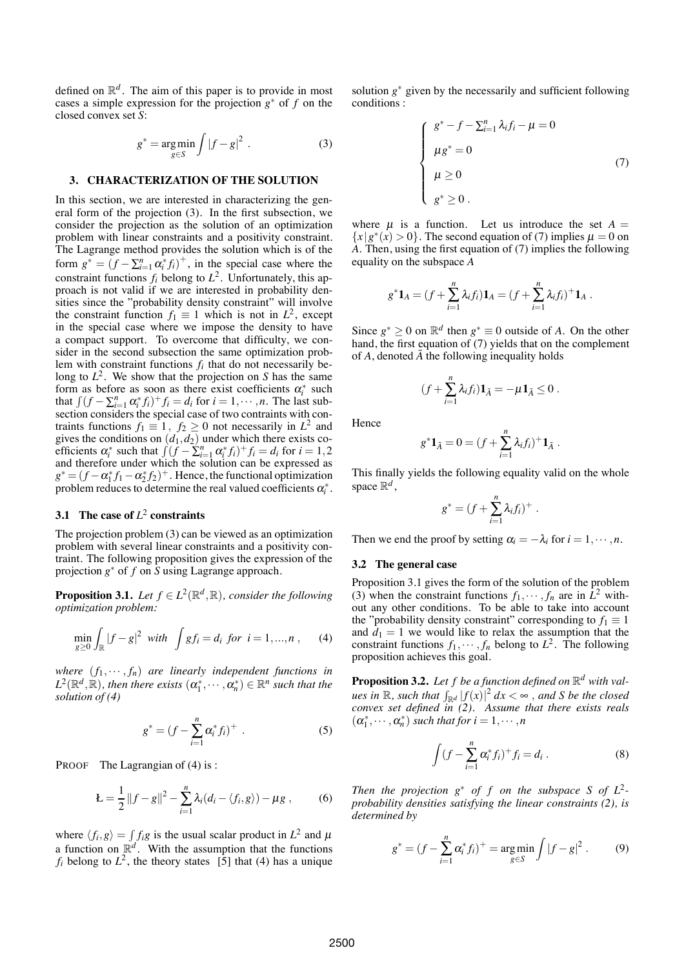defined on  $\mathbb{R}^d$ . The aim of this paper is to provide in most cases a simple expression for the projection *g*<sup>∗</sup> of *f* on the closed convex set *S*:

$$
g^* = \underset{g \in S}{\text{arg min}} \int |f - g|^2 \ . \tag{3}
$$

#### **3. CHARACTERIZATION OF THE SOLUTION**

In this section, we are interested in characterizing the general form of the projection (3). In the first subsection, we consider the projection as the solution of an optimization problem with linear constraints and a positivity constraint. The Lagrange method provides the solution which is of the form  $g^* = (f - \sum_{i=1}^n \alpha_i^* f_i)^+$ , in the special case where the constraint functions  $f_i$  belong to  $L^2$ . Unfortunately, this approach is not valid if we are interested in probability densities since the "probability density constraint" will involve the constraint function  $f_1 \equiv 1$  which is not in  $L^2$ , except in the special case where we impose the density to have a compact support. To overcome that difficulty, we consider in the second subsection the same optimization problem with constraint functions *fi* that do not necessarily belong to  $L^2$ . We show that the projection on *S* has the same form as before as soon as there exist coefficients  $\alpha_i^*$  such that  $\int (f - \sum_{i=1}^n \alpha_i^* f_i)^+ f_i = d_i$  for  $i = 1, \dots, n$ . The last subsection considers the special case of two contraints with contraints functions  $f_1 \equiv 1$ ,  $f_2 \ge 0$  not necessarily in  $L^2$  and gives the conditions on  $(d_1, d_2)$  under which there exists coefficients  $\alpha_i^*$  such that  $\int (f - \sum_{i=1}^n \alpha_i^* f_i)^+ f_i = d_i$  for  $i = 1, 2$ and therefore under which the solution can be expressed as  $g^* = (f - \alpha_1^* f_1 - \alpha_2^* f_2)^+$ . Hence, the functional optimization problem reduces to determine the real valued coefficients  $\alpha_i^*$ .

# **3.1 The case of** *L*<sup>2</sup> **constraints**

The projection problem (3) can be viewed as an optimization problem with several linear constraints and a positivity contraint. The following proposition gives the expression of the projection *g*<sup>∗</sup> of *f* on *S* using Lagrange approach.

**Proposition 3.1.** *Let*  $f \in L^2(\mathbb{R}^d, \mathbb{R})$ *, consider the following optimization problem:*

$$
\min_{g \ge 0} \int_{\mathbb{R}} |f - g|^2 \ \text{with} \ \int g f_i = d_i \ \text{for} \ \ i = 1, ..., n \ , \qquad (4)
$$

*where*  $(f_1, \dots, f_n)$  *are linearly independent functions in*  $L^2(\mathbb{R}^d, \mathbb{R})$ *, then there exists*  $(\alpha_1^*, \cdots, \alpha_n^*) \in \mathbb{R}^n$  *such that the solution of (4)*

$$
g^* = (f - \sum_{i=1}^n \alpha_i^* f_i)^+ \tag{5}
$$

PROOF The Lagrangian of (4) is :

$$
E = \frac{1}{2} ||f - g||^2 - \sum_{i=1}^{n} \lambda_i (d_i - \langle f_i, g \rangle) - \mu g , \qquad (6)
$$

where  $\langle f_i, g \rangle = \int f_i g$  is the usual scalar product in  $L^2$  and  $\mu$ a function on  $\mathbb{R}^d$ . With the assumption that the functions  $f_i$  belong to  $L^2$ , the theory states [5] that (4) has a unique solution *g*<sup>∗</sup> given by the necessarily and sufficient following conditions :

$$
\begin{cases}\n g^* - f - \sum_{i=1}^n \lambda_i f_i - \mu = 0 \\
 \mu g^* = 0 \\
 \mu \ge 0 \\
 g^* \ge 0\n\end{cases}
$$
\n(7)

where  $\mu$  is a function. Let us introduce the set  $A =$  ${x | g^*(x) > 0}$ . The second equation of (7) implies  $\mu = 0$  on *A*. Then, using the first equation of (7) implies the following equality on the subspace *A*

$$
g^* \mathbf{1}_A = (f + \sum_{i=1}^n \lambda_i f_i) \mathbf{1}_A = (f + \sum_{i=1}^n \lambda_i f_i)^+ \mathbf{1}_A.
$$

Since  $g^* \geq 0$  on  $\mathbb{R}^d$  then  $g^* \equiv 0$  outside of *A*. On the other hand, the first equation of (7) yields that on the complement of  $\overline{A}$ , denoted  $\overline{A}$  the following inequality holds

$$
(f+\sum_{i=1}^n \lambda_i f_i)\mathbf{1}_{\bar{A}}=-\mu\mathbf{1}_{\bar{A}}\leq 0.
$$

Hence

$$
g^* \mathbf{1}_{\bar{A}} = 0 = (f + \sum_{i=1}^n \lambda_i f_i)^+ \mathbf{1}_{\bar{A}}.
$$

This finally yields the following equality valid on the whole space  $\mathbb{R}^d$ ,

$$
g^* = (f + \sum_{i=1}^n \lambda_i f_i)^+ \; .
$$

Then we end the proof by setting  $\alpha_i = -\lambda_i$  for  $i = 1, \dots, n$ .

#### **3.2 The general case**

Proposition 3.1 gives the form of the solution of the problem (3) when the constraint functions  $f_1, \dots, f_n$  are in  $L^2$  without any other conditions. To be able to take into account the "probability density constraint" corresponding to  $f_1 \equiv 1$ and  $d_1 = 1$  we would like to relax the assumption that the constraint functions  $f_1, \dots, f_n$  belong to  $L^2$ . The following proposition achieves this goal.

**Proposition 3.2.** Let  $f$  be a function defined on  $\mathbb{R}^d$  with val $u$ es in  $\mathbb R$ *, such that*  $\int_{\mathbb R^d} \left| f(x) \right|^2 dx < \infty$  *, and S be the closed convex set defined in (2). Assume that there exists reals*  $(\alpha_1^*, \cdots, \alpha_n^*)$  *such that for*  $i = 1, \cdots, n$ 

$$
\int (f - \sum_{i=1}^{n} \alpha_i^* f_i)^+ f_i = d_i . \tag{8}
$$

*Then the projection*  $g^*$  *of f on the subspace S of L*<sup>2</sup>*probability densities satisfying the linear constraints (2), is determined by*

$$
g^* = (f - \sum_{i=1}^n \alpha_i^* f_i)^+ = \underset{g \in S}{\text{arg min}} \int |f - g|^2.
$$
 (9)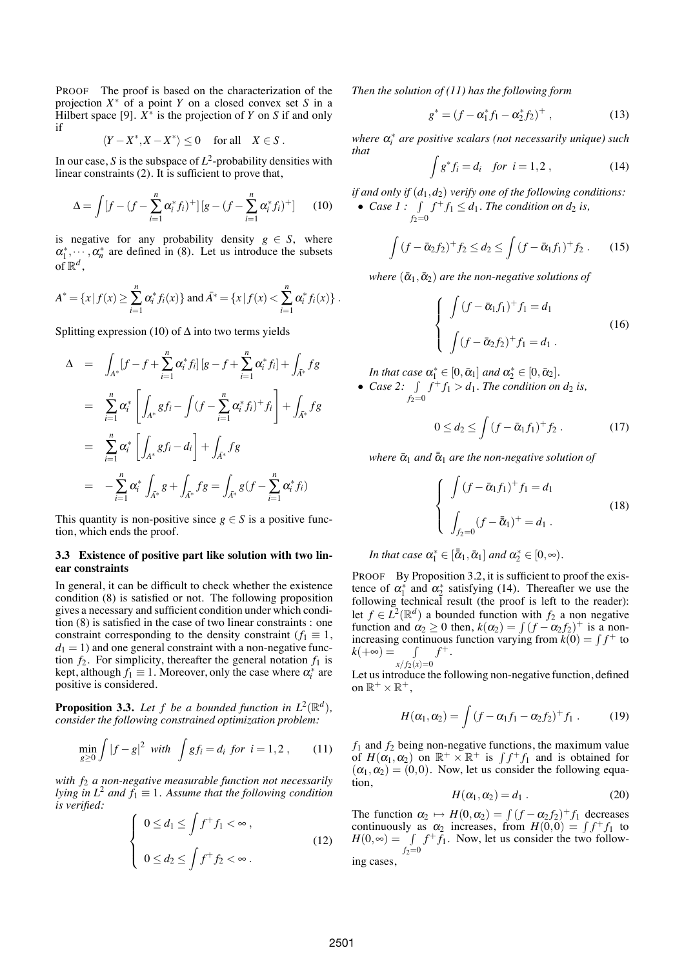PROOF The proof is based on the characterization of the projection *X*<sup>∗</sup> of a point *Y* on a closed convex set *S* in a Hilbert space [9].  $X^*$  is the projection of *Y* on *S* if and only if

$$
\langle Y - X^*, X - X^* \rangle \le 0 \quad \text{ for all} \quad X \in S \ .
$$

In our case, *S* is the subspace of  $L^2$ -probability densities with linear constraints (2). It is sufficient to prove that,

$$
\Delta = \int [f - (f - \sum_{i=1}^{n} \alpha_i^* f_i)^+] \left[ g - (f - \sum_{i=1}^{n} \alpha_i^* f_i)^+ \right] \tag{10}
$$

is negative for any probability density  $g \in S$ , where  $\alpha_1^*, \dots, \alpha_n^*$  are defined in (8). Let us introduce the subsets of  $\mathbb{R}^d$ ,

$$
A^* = \{x \mid f(x) \geq \sum_{i=1}^n \alpha_i^* f_i(x) \} \text{ and } \bar{A}^* = \{x \mid f(x) < \sum_{i=1}^n \alpha_i^* f_i(x) \}.
$$

Splitting expression (10) of  $\Delta$  into two terms yields

$$
\Delta = \int_{A^*} [f - f + \sum_{i=1}^n \alpha_i^* f_i] [g - f + \sum_{i=1}^n \alpha_i^* f_i] + \int_{A^*} f g
$$
  
\n
$$
= \sum_{i=1}^n \alpha_i^* \left[ \int_{A^*} g f_i - \int (f - \sum_{i=1}^n \alpha_i^* f_i)^+ f_i \right] + \int_{A^*} f g
$$
  
\n
$$
= \sum_{i=1}^n \alpha_i^* \left[ \int_{A^*} g f_i - d_i \right] + \int_{A^*} f g
$$
  
\n
$$
= - \sum_{i=1}^n \alpha_i^* \int_{A^*} g + \int_{A^*} f g = \int_{A^*} g (f - \sum_{i=1}^n \alpha_i^* f_i)
$$

This quantity is non-positive since  $g \in S$  is a positive function, which ends the proof.

#### **3.3 Existence of positive part like solution with two linear constraints**

In general, it can be difficult to check whether the existence condition (8) is satisfied or not. The following proposition gives a necessary and sufficient condition under which condition (8) is satisfied in the case of two linear constraints : one constraint corresponding to the density constraint ( $f_1 \equiv 1$ ,  $d_1 = 1$ ) and one general constraint with a non-negative function  $f_2$ . For simplicity, thereafter the general notation  $f_1$  is kept, although  $f_1 \equiv 1$ . Moreover, only the case where  $\alpha_i^*$  are positive is considered.

**Proposition 3.3.** *Let f be a bounded function in*  $L^2(\mathbb{R}^d)$ *, consider the following constrained optimization problem:*

$$
\min_{g \ge 0} \int |f - g|^2 \ \text{with} \ \int g f_i = d_i \ \text{for} \ i = 1, 2 \ , \tag{11}
$$

*with f*<sup>2</sup> *a non-negative measurable function not necessarily lying in L*<sup>2</sup> *and*  $f_1 \equiv 1$ *. Assume that the following condition is verified:*

$$
\begin{cases}\n0 \le d_1 \le \int f^+ f_1 < \infty, \\
0 \le d_2 \le \int f^+ f_2 < \infty.\n\end{cases} \tag{12}
$$

*Then the solution of (11) has the following form*

$$
g^* = (f - \alpha_1^* f_1 - \alpha_2^* f_2)^+, \qquad (13)
$$

*where*  $\alpha_i^*$  *are positive scalars (not necessarily unique) such that*

$$
\int g^* f_i = d_i \quad \text{for } i = 1, 2 ,
$$
 (14)

*if and only if* (*d*1,*d*2) *verify one of the following conditions:* • *Case 1* :  $\int$  $f_2=0$  $f^+f_1 \leq d_1$ . The condition on  $d_2$  is,

$$
\int (f - \bar{\alpha}_2 f_2)^+ f_2 \le d_2 \le \int (f - \bar{\alpha}_1 f_1)^+ f_2 \ . \tag{15}
$$

*where*  $(\bar{\alpha}_1, \bar{\alpha}_2)$  *are the non-negative solutions of* 

$$
\begin{cases}\n\int (f - \bar{\alpha}_1 f_1)^+ f_1 = d_1 \\
\int (f - \bar{\alpha}_2 f_2)^+ f_1 = d_1\n\end{cases}
$$
\n(16)

*In that case*  $\alpha_1^* \in [0, \bar{\alpha}_1]$  *and*  $\alpha_2^* \in [0, \bar{\alpha}_2]$ *.* 

• *Case* 2: <u>J</u>  $f_2=0$  $f^+f_1 > d_1$ . The condition on  $d_2$  is,

$$
0 \le d_2 \le \int \left(f - \bar{\alpha}_1 f_1\right)^+ f_2 \,. \tag{17}
$$

*where*  $\bar{\alpha}_1$  *and*  $\bar{\bar{\alpha}}_1$  *are the non-negative solution of* 

$$
\begin{cases}\n\int (f - \bar{\alpha}_1 f_1)^+ f_1 = d_1 \\
\int_{f_2 = 0} (f - \bar{\bar{\alpha}}_1)^+ = d_1 .\n\end{cases}
$$
\n(18)

*In that case* 
$$
\alpha_1^* \in [\overline{\alpha}_1, \overline{\alpha}_1]
$$
 *and*  $\alpha_2^* \in [0, \infty)$ .

PROOF By Proposition 3.2, it is sufficient to proof the existence of  $\alpha_1^*$  and  $\alpha_2^*$  satisfying (14). Thereafter we use the following technical result (the proof is left to the reader): let  $f \in L^2(\mathbb{R}^d)$  a bounded function with  $f_2$  a non negative function and  $\alpha_2 \ge 0$  then,  $k(\alpha_2) = \int (f - \alpha_2 f_2)^+$  is a nonincreasing continuous function varying from  $\dot{k}(0) = \int f^+$  to  $k(+\infty) =$  $x/f_2(x)=0$  $f^+$  .

Let us introduce the following non-negative function, defined on  $\mathbb{R}^+ \times \mathbb{R}^+$ ,

$$
H(\alpha_1,\alpha_2)=\int (f-\alpha_1f_1-\alpha_2f_2)^+f_1.
$$
 (19)

 $f_1$  and  $f_2$  being non-negative functions, the maximum value of  $H(\alpha_1, \alpha_2)$  on  $\mathbb{R}^+ \times \mathbb{R}^+$  is  $\int f^+ f_1$  and is obtained for  $(\alpha_1, \alpha_2) = (0,0)$ . Now, let us consider the following equation,

$$
H(\alpha_1, \alpha_2) = d_1. \tag{20}
$$

The function  $\alpha_2 \mapsto H(0, \alpha_2) = \int (f - \alpha_2 f_2)^+ f_1$  decreases continuously as  $\alpha_2$  increases, from  $H(0,0) = \int f^+ f_1$  to  $H(0, \infty) = \int f^{+} \bar{f}_{1}$ . Now, let us consider the two follow $f_2=0$ ing cases,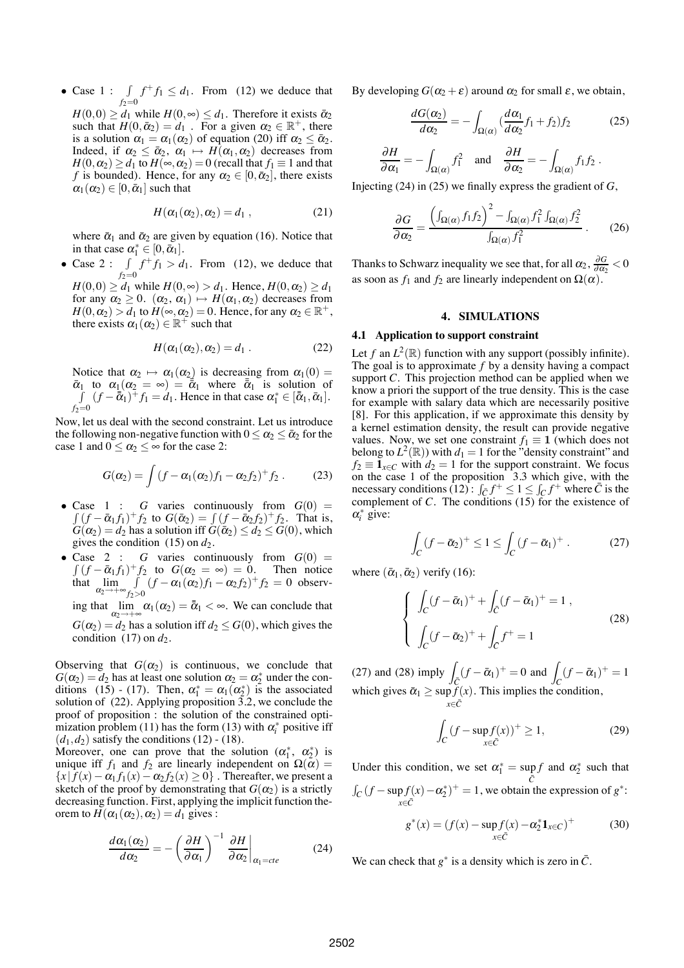• Case  $1 : \mathcal{I}$  $f_2=0$  $f^+ f_1 \leq d_1$ . From (12) we deduce that  $H(0,0) \ge d_1$  while  $H(0,\infty) \le d_1$ . Therefore it exists  $\bar{\alpha}_2$ such that  $H(0, \bar{\alpha}_2) = d_1$ . For a given  $\alpha_2 \in \mathbb{R}^+$ , there is a solution  $\alpha_1 = \alpha_1(\alpha_2)$  of equation (20) iff  $\alpha_2 \le \overline{\alpha_2}$ .

Indeed, if  $\alpha_2 \leq \bar{\alpha}_2$ ,  $\alpha_1 \mapsto H(\alpha_1, \alpha_2)$  decreases from  $H(0, \alpha_2) \ge d_1$  to  $H(\infty, \alpha_2) = 0$  (recall that  $f_1 \equiv 1$  and that *f* is bounded). Hence, for any  $\alpha_2 \in [0, \bar{\alpha}_2]$ , there exists  $\alpha_1(\alpha_2) \in [0, \bar{\alpha}_1]$  such that

$$
H(\alpha_1(\alpha_2),\alpha_2)=d_1,
$$
 (21)

where  $\bar{\alpha}_1$  and  $\bar{\alpha}_2$  are given by equation (16). Notice that in that case  $\alpha_1^* \in [0, \bar{\alpha}_1].$ 

• Case  $2 : \mathcal{I}$  $f_2=0$  $f^+f_1 > d_1$ . From (12), we deduce that  $H(0,0) \ge d_1$  while  $H(0,\infty) > d_1$ . Hence,  $H(0,\alpha_2) \ge d_1$ 

for any  $\alpha_2 \geq 0$ .  $(\alpha_2, \alpha_1) \mapsto H(\alpha_1, \alpha_2)$  decreases from  $H(0, \alpha_2) > d_1$  to  $H(\infty, \alpha_2) = 0$ . Hence, for any  $\alpha_2 \in \mathbb{R}^+$ , there exists  $\alpha_1(\alpha_2) \in \mathbb{R}^+$  such that

$$
H(\alpha_1(\alpha_2),\alpha_2)=d_1.
$$
 (22)

Notice that  $\alpha_2 \mapsto \alpha_1(\alpha_2)$  is decreasing from  $\alpha_1(0) =$  $\bar{\alpha}_1$  to  $\alpha_1(\alpha_2 = \infty) = \bar{\tilde{\alpha}}_1$  where  $\bar{\tilde{\alpha}}_1$  is solution of  $\int (f - \overline{\tilde{\alpha}}_1)^{\top} f_1 = d_1.$  Hence in that case  $\alpha_1^* \in [\overline{\tilde{\alpha}}_1, \overline{\alpha}_1].$  $f_2=0$ 

Now, let us deal with the second constraint. Let us introduce the following non-negative function with  $0 \le \alpha_2 \le \bar{\alpha}_2$  for the case 1 and  $0 \le \alpha_2 \le \infty$  for the case 2:

$$
G(\alpha_2) = \int \left(f - \alpha_1(\alpha_2)f_1 - \alpha_2 f_2\right)^+ f_2 \,. \tag{23}
$$

- Case  $1 : G$  varies continuously from  $G(0) =$  $\int (f - \bar{\alpha}_1 f_1)^+ f_2$  to  $G(\bar{\alpha}_2) = \int (f - \bar{\alpha}_2 f_2)^+ f_2$ . That is,  $G(\alpha_2) = d_2$  has a solution iff  $G(\bar{\alpha}_2) \leq d_2 \leq G(0)$ , which gives the condition  $(15)$  on  $d_2$ .
- Case 2 : *G* varies continuously from  $G(0)$  =  $\int (f - \bar{\alpha}_1 f_1)^+ f_2$  to  $G(\alpha_2 = \infty) = 0$ . Then notice that  $\lim_{\alpha_2 \to +\infty} \int$ *f*2>0  $(f - \alpha_1(\alpha_2)f_1 - \alpha_2 f_2)^+ f_2 = 0$  observing that  $\lim_{\alpha_1 \to \infty} \alpha_1(\alpha_2) = \overline{\alpha}_1 < \infty$ . We can conclude that  $G(\alpha_2) = d_2$  has a solution iff  $d_2 \leq G(0)$ , which gives the condition  $(17)$  on  $d_2$ .

Observing that  $G(\alpha_2)$  is continuous, we conclude that  $G(\alpha_2) = d_2$  has at least one solution  $\alpha_2 = \alpha_2^*$  under the conditions (15) - (17). Then,  $\alpha_1^* = \alpha_1(\alpha_2^*)$  is the associated solution of (22). Applying proposition 3.2, we conclude the proof of proposition : the solution of the constrained optimization problem (11) has the form (13) with  $\alpha_i^*$  positive iff  $(d_1, d_2)$  satisfy the conditions (12) - (18).

Moreover, one can prove that the solution  $(\alpha_1^*, \alpha_2^*)$  is unique iff  $f_1$  and  $f_2$  are linearly independent on  $\Omega(\alpha)$  =  ${x | f(x) - \alpha_1 f_1(x) - \alpha_2 f_2(x) \ge 0}$ . Thereafter, we present a sketch of the proof by demonstrating that  $G(\alpha_2)$  is a strictly decreasing function. First, applying the implicit function theorem to  $\overline{H}(\alpha_1(\alpha_2), \alpha_2) = d_1$  gives :

$$
\frac{d\alpha_1(\alpha_2)}{d\alpha_2} = -\left(\frac{\partial H}{\partial \alpha_1}\right)^{-1} \frac{\partial H}{\partial \alpha_2}\bigg|_{\alpha_1 = cte}
$$
 (24)

By developing  $G(\alpha_2 + \varepsilon)$  around  $\alpha_2$  for small  $\varepsilon$ , we obtain,

$$
\frac{dG(\alpha_2)}{d\alpha_2} = -\int_{\Omega(\alpha)} \left(\frac{d\alpha_1}{d\alpha_2} f_1 + f_2\right) f_2 \tag{25}
$$

$$
\frac{\partial H}{\partial \alpha_1} = -\int_{\Omega(\alpha)} f_1^2 \quad \text{and} \quad \frac{\partial H}{\partial \alpha_2} = -\int_{\Omega(\alpha)} f_1 f_2.
$$

Injecting (24) in (25) we finally express the gradient of *G*,

$$
\frac{\partial G}{\partial \alpha_2} = \frac{\left(\int_{\Omega(\alpha)} f_1 f_2\right)^2 - \int_{\Omega(\alpha)} f_1^2 \int_{\Omega(\alpha)} f_2^2}{\int_{\Omega(\alpha)} f_1^2} \,. \tag{26}
$$

Thanks to Schwarz inequality we see that, for all  $\alpha_2$ ,  $\frac{\partial G}{\partial \alpha_2}$  < 0 as soon as  $f_1$  and  $f_2$  are linearly independent on  $\Omega(\alpha)$ .

#### **4. SIMULATIONS**

# **4.1 Application to support constraint**

Let  $f$  an  $L^2(\mathbb{R})$  function with any support (possibly infinite). The goal is to approximate *f* by a density having a compact support *C*. This projection method can be applied when we know a priori the support of the true density. This is the case for example with salary data which are necessarily positive [8]. For this application, if we approximate this density by a kernel estimation density, the result can provide negative values. Now, we set one constraint  $f_1 \equiv 1$  (which does not belong to  $L^2(\mathbb{R})$ ) with  $d_1 = 1$  for the "density constraint" and  $f_2 \equiv \mathbf{1}_{x \in C}$  with  $d_2 = 1$  for the support constraint. We focus on the case 1 of the proposition 3.3 which give, with the necessary conditions  $(12)$ :  $\int_{\overline{C}} f^+ \leq 1 \leq \int_{\overline{C}} f^+$  where  $\overline{C}$  is the complement of *C*. The conditions (15) for the existence of  $\alpha_i^*$  give:

$$
\int_C (f - \bar{\alpha}_2)^+ \le 1 \le \int_C (f - \bar{\alpha}_1)^+ \,. \tag{27}
$$

where  $(\bar{\alpha}_1, \bar{\alpha}_2)$  verify (16):

$$
\begin{cases}\n\int_C (f - \bar{\alpha}_1)^+ + \int_C (f - \bar{\alpha}_1)^+ = 1, \\
\int_C (f - \bar{\alpha}_2)^+ + \int_C f^+ = 1\n\end{cases}
$$
\n(28)

(27) and (28) imply  $\int_{\bar{C}} (f - \bar{\alpha}_1)^+ = 0$  and  $\int_C (f - \bar{\alpha}_1)^+ = 1$ which gives  $\bar{\alpha}_1 \geq \sup f(x)$ *x*∈*C*¯ . This implies the condition,

$$
\int_C (f - \sup_{x \in \overline{C}} f(x))^+ \ge 1,\tag{29}
$$

Under this condition, we set  $\alpha_1^* = \sup_{\overline{C}} f$ and  $\alpha_2^*$  such that  $\int_C (f - \sup f(x)) f(x)$  $-\alpha_2^*$ <sup>+</sup> = 1, we obtain the expression of  $g^*$ :

$$
g^*(x) = (f(x) - \sup_{x \in \bar{C}} f(x) - \alpha_2^* \mathbf{1}_{x \in C})^+
$$
(30)

We can check that  $g^*$  is a density which is zero in  $\overline{C}$ .